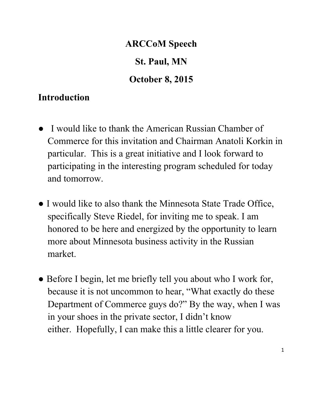# **ARCCoM Speech St. Paul, MN October 8, 2015**

### **Introduction**

- I would like to thank the American Russian Chamber of Commerce for this invitation and Chairman Anatoli Korkin in particular. This is a great initiative and I look forward to participating in the interesting program scheduled for today and tomorrow.
- I would like to also thank the Minnesota State Trade Office, specifically Steve Riedel, for inviting me to speak. I am honored to be here and energized by the opportunity to learn more about Minnesota business activity in the Russian market.
- Before I begin, let me briefly tell you about who I work for, because it is not uncommon to hear, "What exactly do these Department of Commerce guys do?" By the way, when I was in your shoes in the private sector, I didn't know either. Hopefully, I can make this a little clearer for you.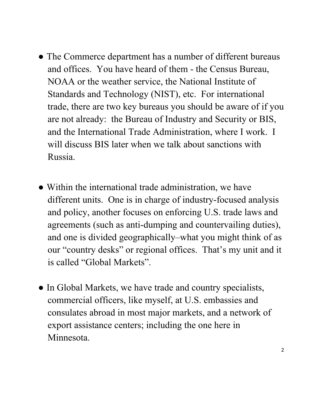- The Commerce department has a number of different bureaus and offices. You have heard of them - the Census Bureau, NOAA or the weather service, the National Institute of Standards and Technology (NIST), etc. For international trade, there are two key bureaus you should be aware of if you are not already: the Bureau of Industry and Security or BIS, and the International Trade Administration, where I work. I will discuss BIS later when we talk about sanctions with Russia.
- Within the international trade administration, we have different units. One is in charge of industry-focused analysis and policy, another focuses on enforcing U.S. trade laws and agreements (such as anti-dumping and countervailing duties), and one is divided geographically–what you might think of as our "country desks" or regional offices. That's my unit and it is called "Global Markets".
- In Global Markets, we have trade and country specialists, commercial officers, like myself, at U.S. embassies and consulates abroad in most major markets, and a network of export assistance centers; including the one here in Minnesota.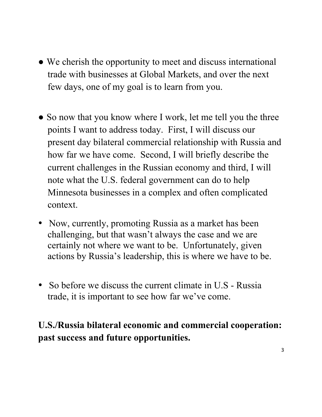- We cherish the opportunity to meet and discuss international trade with businesses at Global Markets, and over the next few days, one of my goal is to learn from you.
- So now that you know where I work, let me tell you the three points I want to address today. First, I will discuss our present day bilateral commercial relationship with Russia and how far we have come. Second, I will briefly describe the current challenges in the Russian economy and third, I will note what the U.S. federal government can do to help Minnesota businesses in a complex and often complicated context.
- Now, currently, promoting Russia as a market has been challenging, but that wasn't always the case and we are certainly not where we want to be. Unfortunately, given actions by Russia's leadership, this is where we have to be.
- So before we discuss the current climate in U.S Russia trade, it is important to see how far we've come.

# **U.S./Russia bilateral economic and commercial cooperation: past success and future opportunities.**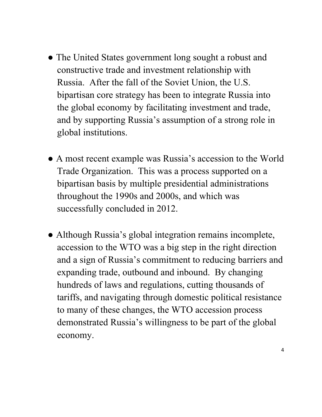- The United States government long sought a robust and constructive trade and investment relationship with Russia. After the fall of the Soviet Union, the U.S. bipartisan core strategy has been to integrate Russia into the global economy by facilitating investment and trade, and by supporting Russia's assumption of a strong role in global institutions.
- A most recent example was Russia's accession to the World Trade Organization. This was a process supported on a bipartisan basis by multiple presidential administrations throughout the 1990s and 2000s, and which was successfully concluded in 2012.
- Although Russia's global integration remains incomplete, accession to the WTO was a big step in the right direction and a sign of Russia's commitment to reducing barriers and expanding trade, outbound and inbound. By changing hundreds of laws and regulations, cutting thousands of tariffs, and navigating through domestic political resistance to many of these changes, the WTO accession process demonstrated Russia's willingness to be part of the global economy.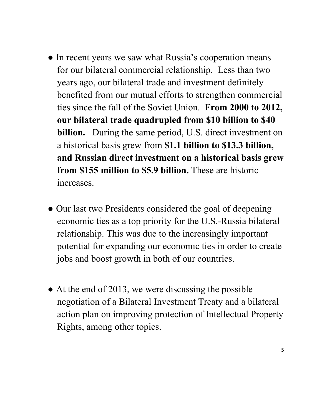- In recent years we saw what Russia's cooperation means for our bilateral commercial relationship. Less than two years ago, our bilateral trade and investment definitely benefited from our mutual efforts to strengthen commercial ties since the fall of the Soviet Union. **From 2000 to 2012, our bilateral trade quadrupled from \$10 billion to \$40 billion.** During the same period, U.S. direct investment on a historical basis grew from **\$1.1 billion to \$13.3 billion, and Russian direct investment on a historical basis grew from \$155 million to \$5.9 billion.** These are historic increases.
- Our last two Presidents considered the goal of deepening economic ties as a top priority for the U.S.-Russia bilateral relationship. This was due to the increasingly important potential for expanding our economic ties in order to create jobs and boost growth in both of our countries.
- At the end of 2013, we were discussing the possible negotiation of a Bilateral Investment Treaty and a bilateral action plan on improving protection of Intellectual Property Rights, among other topics.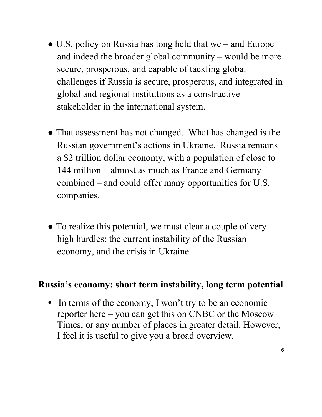- U.S. policy on Russia has long held that we and Europe and indeed the broader global community – would be more secure, prosperous, and capable of tackling global challenges if Russia is secure, prosperous, and integrated in global and regional institutions as a constructive stakeholder in the international system.
- That assessment has not changed. What has changed is the Russian government's actions in Ukraine. Russia remains a \$2 trillion dollar economy, with a population of close to 144 million – almost as much as France and Germany combined – and could offer many opportunities for U.S. companies.
- To realize this potential, we must clear a couple of very high hurdles: the current instability of the Russian economy, and the crisis in Ukraine.

#### **Russia's economy: short term instability, long term potential**

• In terms of the economy, I won't try to be an economic reporter here – you can get this on CNBC or the Moscow Times, or any number of places in greater detail. However, I feel it is useful to give you a broad overview.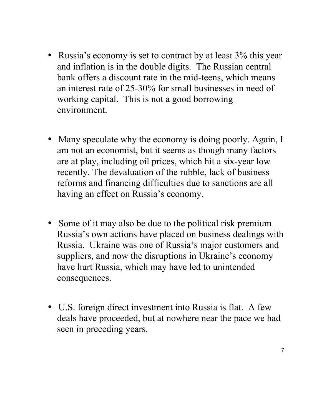- Russia's economy is set to contract by at least 3% this year and inflation is in the double digits. The Russian central bank offers a discount rate in the mid-teens, which means an interest rate of 25-30% for small businesses in need of working capital. This is not a good borrowing environment.
- Many speculate why the economy is doing poorly. Again, I am not an economist, but it seems as though many factors are at play, including oil prices, which hit a six-year low recently. The devaluation of the rubble, lack of business reforms and financing difficulties due to sanctions are all having an effect on Russia's economy.
- Some of it may also be due to the political risk premium Russia's own actions have placed on business dealings with Russia. Ukraine was one of Russia's major customers and suppliers, and now the disruptions in Ukraine's economy have hurt Russia, which may have led to unintended consequences.
- U.S. foreign direct investment into Russia is flat. A few deals have proceeded, but at nowhere near the pace we had seen in preceding years.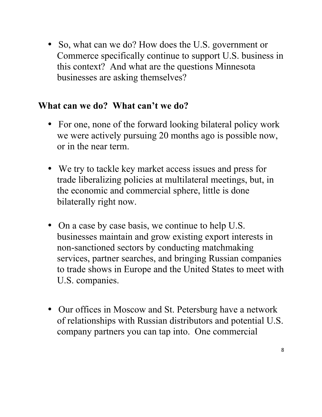• So, what can we do? How does the U.S. government or Commerce specifically continue to support U.S. business in this context? And what are the questions Minnesota businesses are asking themselves?

#### **What can we do? What can't we do?**

- For one, none of the forward looking bilateral policy work we were actively pursuing 20 months ago is possible now, or in the near term.
- We try to tackle key market access issues and press for trade liberalizing policies at multilateral meetings, but, in the economic and commercial sphere, little is done bilaterally right now.
- On a case by case basis, we continue to help U.S. businesses maintain and grow existing export interests in non-sanctioned sectors by conducting matchmaking services, partner searches, and bringing Russian companies to trade shows in Europe and the United States to meet with U.S. companies.
- Our offices in Moscow and St. Petersburg have a network of relationships with Russian distributors and potential U.S. company partners you can tap into. One commercial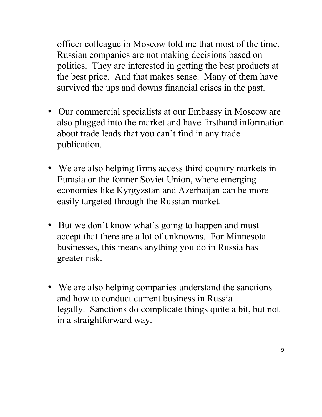officer colleague in Moscow told me that most of the time, Russian companies are not making decisions based on politics. They are interested in getting the best products at the best price. And that makes sense. Many of them have survived the ups and downs financial crises in the past.

- Our commercial specialists at our Embassy in Moscow are also plugged into the market and have firsthand information about trade leads that you can't find in any trade publication.
- We are also helping firms access third country markets in Eurasia or the former Soviet Union, where emerging economies like Kyrgyzstan and Azerbaijan can be more easily targeted through the Russian market.
- But we don't know what's going to happen and must accept that there are a lot of unknowns. For Minnesota businesses, this means anything you do in Russia has greater risk.
- We are also helping companies understand the sanctions and how to conduct current business in Russia legally. Sanctions do complicate things quite a bit, but not in a straightforward way.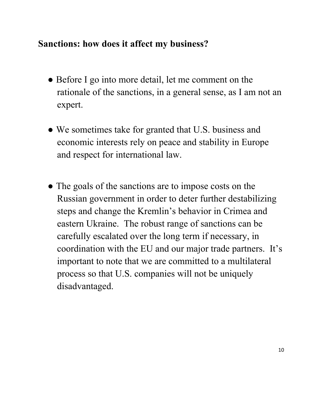## **Sanctions: how does it affect my business?**

- Before I go into more detail, let me comment on the rationale of the sanctions, in a general sense, as I am not an expert.
- We sometimes take for granted that U.S. business and economic interests rely on peace and stability in Europe and respect for international law.
- The goals of the sanctions are to impose costs on the Russian government in order to deter further destabilizing steps and change the Kremlin's behavior in Crimea and eastern Ukraine. The robust range of sanctions can be carefully escalated over the long term if necessary, in coordination with the EU and our major trade partners. It's important to note that we are committed to a multilateral process so that U.S. companies will not be uniquely disadvantaged.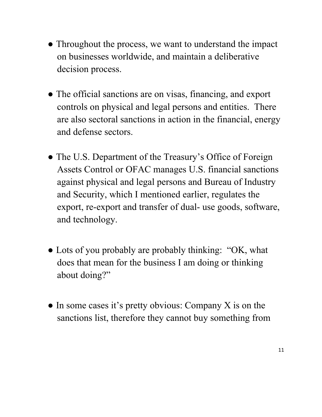- Throughout the process, we want to understand the impact on businesses worldwide, and maintain a deliberative decision process.
- The official sanctions are on visas, financing, and export controls on physical and legal persons and entities. There are also sectoral sanctions in action in the financial, energy and defense sectors.
- The U.S. Department of the Treasury's Office of Foreign Assets Control or OFAC manages U.S. financial sanctions against physical and legal persons and Bureau of Industry and Security, which I mentioned earlier, regulates the export, re-export and transfer of dual- use goods, software, and technology.
- Lots of you probably are probably thinking: "OK, what does that mean for the business I am doing or thinking about doing?"
- In some cases it's pretty obvious: Company X is on the sanctions list, therefore they cannot buy something from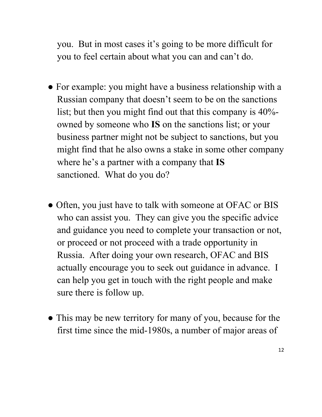you. But in most cases it's going to be more difficult for you to feel certain about what you can and can't do.

- For example: you might have a business relationship with a Russian company that doesn't seem to be on the sanctions list; but then you might find out that this company is 40% owned by someone who **IS** on the sanctions list; or your business partner might not be subject to sanctions, but you might find that he also owns a stake in some other company where he's a partner with a company that **IS** sanctioned. What do you do?
- Often, you just have to talk with someone at OFAC or BIS who can assist you. They can give you the specific advice and guidance you need to complete your transaction or not, or proceed or not proceed with a trade opportunity in Russia. After doing your own research, OFAC and BIS actually encourage you to seek out guidance in advance. I can help you get in touch with the right people and make sure there is follow up.
- This may be new territory for many of you, because for the first time since the mid-1980s, a number of major areas of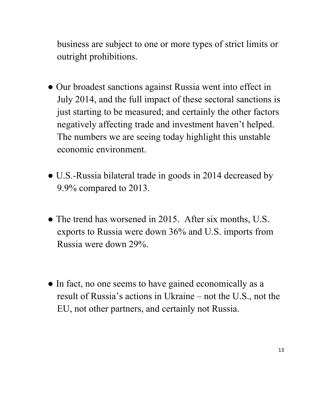business are subject to one or more types of strict limits or outright prohibitions.

- Our broadest sanctions against Russia went into effect in July 2014, and the full impact of these sectoral sanctions is just starting to be measured; and certainly the other factors negatively affecting trade and investment haven't helped. The numbers we are seeing today highlight this unstable economic environment.
- U.S.-Russia bilateral trade in goods in 2014 decreased by 9.9% compared to 2013.
- The trend has worsened in 2015. After six months, U.S. exports to Russia were down 36% and U.S. imports from Russia were down 29%.
- In fact, no one seems to have gained economically as a result of Russia's actions in Ukraine – not the U.S., not the EU, not other partners, and certainly not Russia.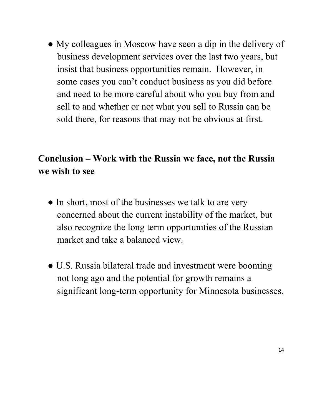• My colleagues in Moscow have seen a dip in the delivery of business development services over the last two years, but insist that business opportunities remain. However, in some cases you can't conduct business as you did before and need to be more careful about who you buy from and sell to and whether or not what you sell to Russia can be sold there, for reasons that may not be obvious at first.

## **Conclusion – Work with the Russia we face, not the Russia we wish to see**

- In short, most of the businesses we talk to are very concerned about the current instability of the market, but also recognize the long term opportunities of the Russian market and take a balanced view.
- U.S. Russia bilateral trade and investment were booming not long ago and the potential for growth remains a significant long-term opportunity for Minnesota businesses.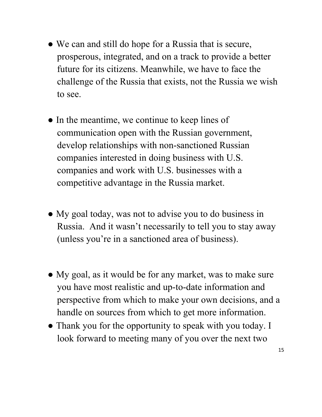- We can and still do hope for a Russia that is secure, prosperous, integrated, and on a track to provide a better future for its citizens. Meanwhile, we have to face the challenge of the Russia that exists, not the Russia we wish to see.
- In the meantime, we continue to keep lines of communication open with the Russian government, develop relationships with non-sanctioned Russian companies interested in doing business with U.S. companies and work with U.S. businesses with a competitive advantage in the Russia market.
- My goal today, was not to advise you to do business in Russia. And it wasn't necessarily to tell you to stay away (unless you're in a sanctioned area of business).
- My goal, as it would be for any market, was to make sure you have most realistic and up-to-date information and perspective from which to make your own decisions, and a handle on sources from which to get more information.
- Thank you for the opportunity to speak with you today. I look forward to meeting many of you over the next two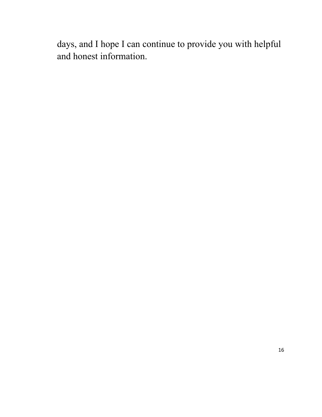days, and I hope I can continue to provide you with helpful and honest information.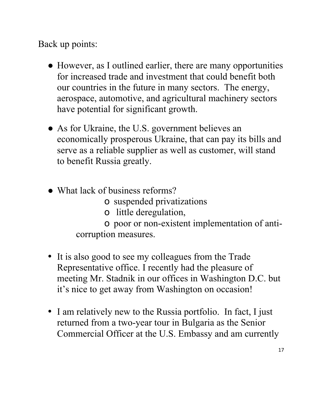Back up points:

- However, as I outlined earlier, there are many opportunities for increased trade and investment that could benefit both our countries in the future in many sectors. The energy, aerospace, automotive, and agricultural machinery sectors have potential for significant growth.
- As for Ukraine, the U.S. government believes an economically prosperous Ukraine, that can pay its bills and serve as a reliable supplier as well as customer, will stand to benefit Russia greatly.
- What lack of business reforms?
	- o suspended privatizations
	- o little deregulation,

o poor or non-existent implementation of anticorruption measures.

- It is also good to see my colleagues from the Trade Representative office. I recently had the pleasure of meeting Mr. Stadnik in our offices in Washington D.C. but it's nice to get away from Washington on occasion!
- I am relatively new to the Russia portfolio. In fact, I just returned from a two-year tour in Bulgaria as the Senior Commercial Officer at the U.S. Embassy and am currently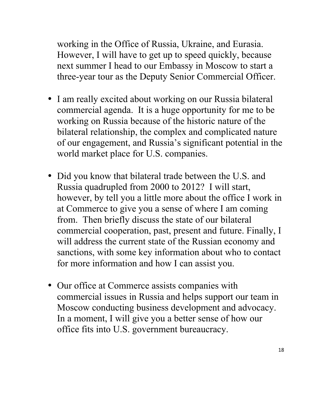working in the Office of Russia, Ukraine, and Eurasia. However, I will have to get up to speed quickly, because next summer I head to our Embassy in Moscow to start a three-year tour as the Deputy Senior Commercial Officer.

- I am really excited about working on our Russia bilateral commercial agenda. It is a huge opportunity for me to be working on Russia because of the historic nature of the bilateral relationship, the complex and complicated nature of our engagement, and Russia's significant potential in the world market place for U.S. companies.
- Did you know that bilateral trade between the U.S. and Russia quadrupled from 2000 to 2012? I will start, however, by tell you a little more about the office I work in at Commerce to give you a sense of where I am coming from. Then briefly discuss the state of our bilateral commercial cooperation, past, present and future. Finally, I will address the current state of the Russian economy and sanctions, with some key information about who to contact for more information and how I can assist you.
- Our office at Commerce assists companies with commercial issues in Russia and helps support our team in Moscow conducting business development and advocacy. In a moment, I will give you a better sense of how our office fits into U.S. government bureaucracy.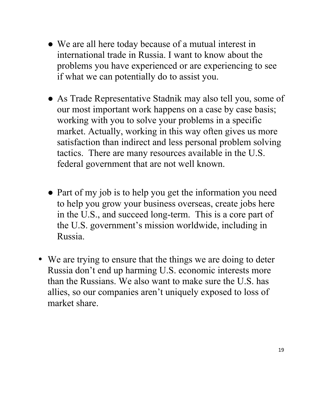- We are all here today because of a mutual interest in international trade in Russia. I want to know about the problems you have experienced or are experiencing to see if what we can potentially do to assist you.
- As Trade Representative Stadnik may also tell you, some of our most important work happens on a case by case basis; working with you to solve your problems in a specific market. Actually, working in this way often gives us more satisfaction than indirect and less personal problem solving tactics. There are many resources available in the U.S. federal government that are not well known.
- Part of my job is to help you get the information you need to help you grow your business overseas, create jobs here in the U.S., and succeed long-term. This is a core part of the U.S. government's mission worldwide, including in Russia.
- We are trying to ensure that the things we are doing to deter Russia don't end up harming U.S. economic interests more than the Russians. We also want to make sure the U.S. has allies, so our companies aren't uniquely exposed to loss of market share.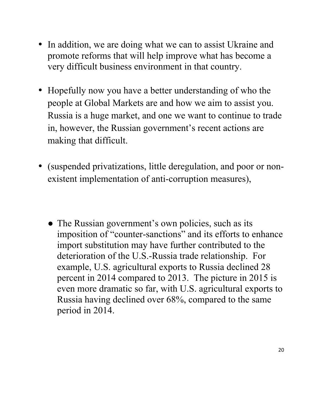- In addition, we are doing what we can to assist Ukraine and promote reforms that will help improve what has become a very difficult business environment in that country.
- Hopefully now you have a better understanding of who the people at Global Markets are and how we aim to assist you. Russia is a huge market, and one we want to continue to trade in, however, the Russian government's recent actions are making that difficult.
- (suspended privatizations, little deregulation, and poor or nonexistent implementation of anti-corruption measures),
	- The Russian government's own policies, such as its imposition of "counter-sanctions" and its efforts to enhance import substitution may have further contributed to the deterioration of the U.S.-Russia trade relationship. For example, U.S. agricultural exports to Russia declined 28 percent in 2014 compared to 2013. The picture in 2015 is even more dramatic so far, with U.S. agricultural exports to Russia having declined over 68%, compared to the same period in 2014.